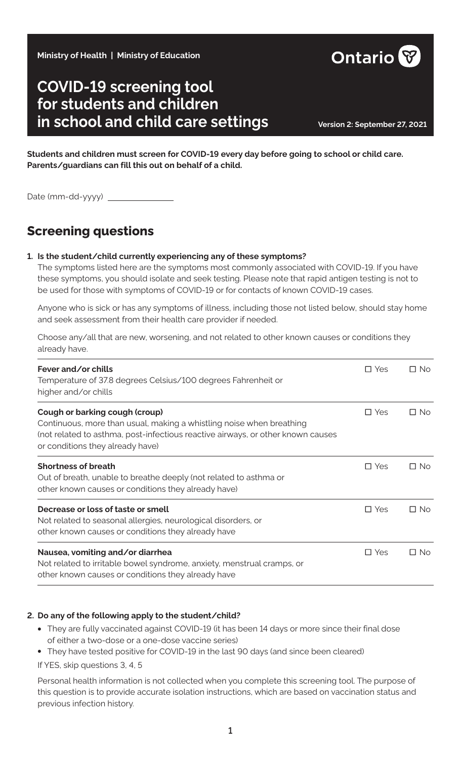**Ministry of Health | Ministry of Education**

# **COVID-19 screening tool for students and children in school and child care settings Version 2: September 27, 2021**

**Students and children must screen for COVID-19 every day before going to school or child care. Parents/guardians can fill this out on behalf of a child.**

Date (mm-dd-yyyy)

## **Screening questions**

#### **1. Is the student/child currently experiencing any of these symptoms?**

The symptoms listed here are the symptoms most commonly associated with COVID-19. If you have these symptoms, you should isolate and seek testing. Please note that rapid antigen testing is not to be used for those with symptoms of COVID-19 or for contacts of known COVID-19 cases.

Anyone who is sick or has any symptoms of illness, including those not listed below, should stay home and seek assessment from their health care provider if needed.

Choose any/all that are new, worsening, and not related to other known causes or conditions they already have.

| Fever and/or chills<br>Temperature of 37.8 degrees Celsius/100 degrees Fahrenheit or<br>higher and/or chills                                                                                                                  | $\Box$ Yes    | $\Box$ No |
|-------------------------------------------------------------------------------------------------------------------------------------------------------------------------------------------------------------------------------|---------------|-----------|
| Cough or barking cough (croup)<br>Continuous, more than usual, making a whistling noise when breathing<br>(not related to asthma, post-infectious reactive airways, or other known causes<br>or conditions they already have) | $\Box$ Yes    | $\Box$ No |
| <b>Shortness of breath</b><br>Out of breath, unable to breathe deeply (not related to asthma or<br>other known causes or conditions they already have)                                                                        | $\square$ Yes | $\Box$ No |
| Decrease or loss of taste or smell<br>Not related to seasonal allergies, neurological disorders, or<br>other known causes or conditions they already have                                                                     | $\Box$ Yes    | $\Box$ No |
| Nausea, vomiting and/or diarrhea<br>Not related to irritable bowel syndrome, anxiety, menstrual cramps, or<br>other known causes or conditions they already have                                                              | $\Box$ Yes    | $\Box$ No |

#### **2. Do any of the following apply to the student/child?**

- **•** They are fully vaccinated against COVID-19 (it has been 14 days or more since their final dose of either a two-dose or a one-dose vaccine series)
- **•** They have tested positive for COVID-19 in the last 90 days (and since been cleared)

If YES, skip questions 3, 4, 5

Personal health information is not collected when you complete this screening tool. The purpose of this question is to provide accurate isolation instructions, which are based on vaccination status and previous infection history.

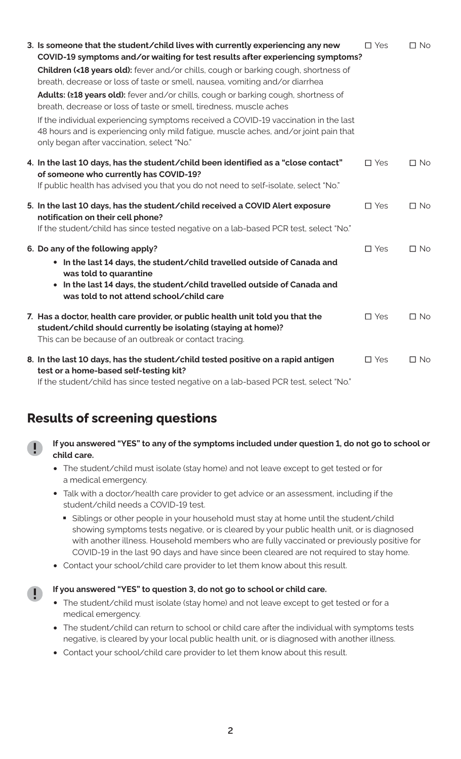| 3. Is someone that the student/child lives with currently experiencing any new<br>COVID-19 symptoms and/or waiting for test results after experiencing symptoms?                                                          | $\square$ Yes | $\Box$ No    |
|---------------------------------------------------------------------------------------------------------------------------------------------------------------------------------------------------------------------------|---------------|--------------|
| Children (<18 years old): fever and/or chills, cough or barking cough, shortness of<br>breath, decrease or loss of taste or smell, nausea, vomiting and/or diarrhea                                                       |               |              |
| Adults: (≥18 years old): fever and/or chills, cough or barking cough, shortness of<br>breath, decrease or loss of taste or smell, tiredness, muscle aches                                                                 |               |              |
| If the individual experiencing symptoms received a COVID-19 vaccination in the last<br>48 hours and is experiencing only mild fatigue, muscle aches, and/or joint pain that<br>only began after vaccination, select "No." |               |              |
| 4. In the last 10 days, has the student/child been identified as a "close contact"<br>of someone who currently has COVID-19?                                                                                              | $\square$ Yes | $\square$ No |
| If public health has advised you that you do not need to self-isolate, select "No."                                                                                                                                       |               |              |
| 5. In the last 10 days, has the student/child received a COVID Alert exposure<br>notification on their cell phone?                                                                                                        | $\square$ Yes | $\square$ No |
| If the student/child has since tested negative on a lab-based PCR test, select "No."                                                                                                                                      |               |              |
| 6. Do any of the following apply?                                                                                                                                                                                         | $\square$ Yes | $\Box$ No    |
| • In the last 14 days, the student/child travelled outside of Canada and<br>was told to quarantine                                                                                                                        |               |              |
| In the last 14 days, the student/child travelled outside of Canada and<br>$\bullet$<br>was told to not attend school/child care                                                                                           |               |              |
| 7. Has a doctor, health care provider, or public health unit told you that the<br>student/child should currently be isolating (staying at home)?<br>This can be because of an outbreak or contact tracing.                | $\square$ Yes | $\Box$ No    |
| 8. In the last 10 days, has the student/child tested positive on a rapid antigen<br>test or a home-based self-testing kit?                                                                                                | $\square$ Yes | $\Box$ No    |

If the student/child has since tested negative on a lab-based PCR test, select "No."

### **Results of screening questions**



- **•** The student/child must isolate (stay home) and not leave except to get tested or for a medical emergency.
- **•** Talk with a doctor/health care provider to get advice or an assessment, including if the student/child needs a COVID-19 test.
	- Siblings or other people in your household must stay at home until the student/child showing symptoms tests negative, or is cleared by your public health unit, or is diagnosed with another illness. Household members who are fully vaccinated or previously positive for COVID-19 in the last 90 days and have since been cleared are not required to stay home.
- **•** Contact your school/child care provider to let them know about this result.

#### **If you answered "YES" to question 3, do not go to school or child care.**

- **•** The student/child must isolate (stay home) and not leave except to get tested or for a medical emergency.
- **•** The student/child can return to school or child care after the individual with symptoms tests negative, is cleared by your local public health unit, or is diagnosed with another illness.
- **•** Contact your school/child care provider to let them know about this result.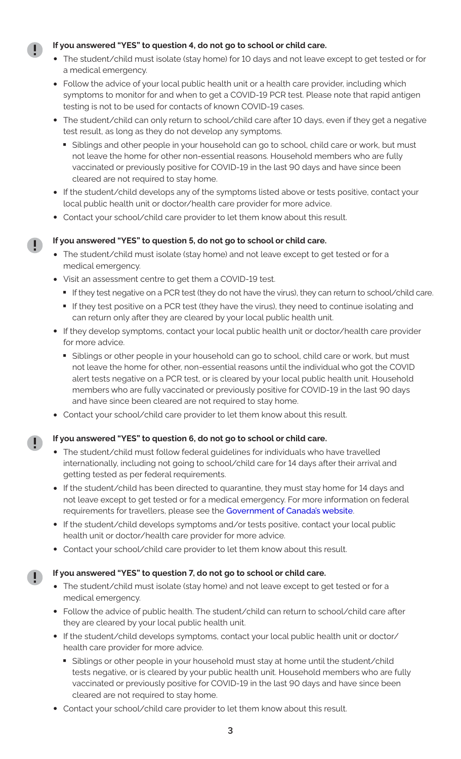#### **If you answered "YES" to question 4, do not go to school or child care.**

- **•** The student/child must isolate (stay home) for 10 days and not leave except to get tested or for a medical emergency.
- **•** Follow the advice of your local public health unit or a health care provider, including which symptoms to monitor for and when to get a COVID-19 PCR test. Please note that rapid antigen testing is not to be used for contacts of known COVID-19 cases.
- **•** The student/child can only return to school/child care after 10 days, even if they get a negative test result, as long as they do not develop any symptoms.
	- Siblings and other people in your household can go to school, child care or work, but must not leave the home for other non-essential reasons. Household members who are fully vaccinated or previously positive for COVID-19 in the last 90 days and have since been cleared are not required to stay home.
- **•** If the student/child develops any of the symptoms listed above or tests positive, contact your local public health unit or doctor/health care provider for more advice.
- **•** Contact your school/child care provider to let them know about this result.

#### **If you answered "YES" to question 5, do not go to school or child care.**

- **•** The student/child must isolate (stay home) and not leave except to get tested or for a medical emergency.
- **•** Visit an assessment centre to get them a COVID-19 test.
	-
	- If they test negative on a PCR test (they do not have the virus), they can return to school/child care.<br>■ If they test positive on a PCR test (they have the virus), they need to continue isolating and can return only after they are cleared by your local public health unit.
- If they develop symptoms, contact your local public health unit or doctor/health care provider for more advice.
	- Siblings or other people in your household can go to school, child care or work, but must not leave the home for other, non-essential reasons until the individual who got the COVID alert tests negative on a PCR test, or is cleared by your local public health unit. Household members who are fully vaccinated or previously positive for COVID-19 in the last 90 days and have since been cleared are not required to stay home.
- **•** Contact your school/child care provider to let them know about this result.

#### **If you answered "YES" to question 6, do not go to school or child care.**

D

- **•** The student/child must follow federal guidelines for individuals who have travelled internationally, including not going to school/child care for 14 days after their arrival and getting tested as per federal requirements.
- **•** If the student/child has been directed to quarantine, they must stay home for 14 days and not leave except to get tested or for a medical emergency. For more information on federal requirements for travellers, please see the [Government of Canada's website](https://travel.gc.ca/travel-covid/travel-restrictions/isolation).
- **•** If the student/child develops symptoms and/or tests positive, contact your local public health unit or doctor/health care provider for more advice.
- **•** Contact your school/child care provider to let them know about this result.

#### **If you answered "YES" to question 7, do not go to school or child care.**

- **•** The student/child must isolate (stay home) and not leave except to get tested or for a medical emergency.
- **•** Follow the advice of public health. The student/child can return to school/child care after they are cleared by your local public health unit.
- **•** If the student/child develops symptoms, contact your local public health unit or doctor/ health care provider for more advice.
	- Siblings or other people in your household must stay at home until the student/child tests negative, or is cleared by your public health unit. Household members who are fully vaccinated or previously positive for COVID-19 in the last 90 days and have since been cleared are not required to stay home.
- **•** Contact your school/child care provider to let them know about this result.